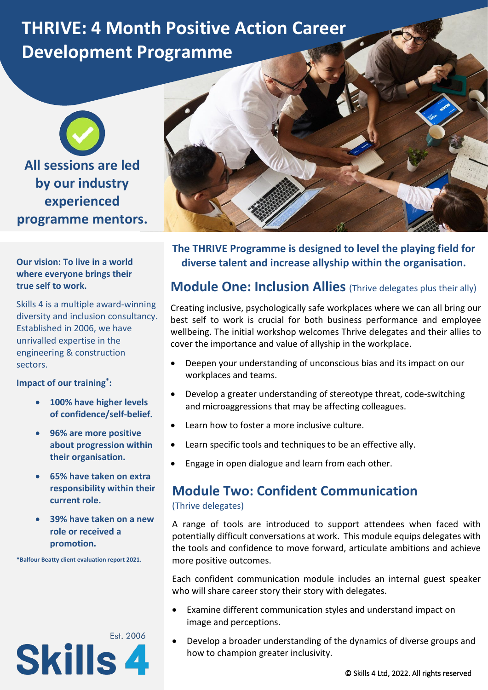# **THRIVE: 4 Month Positive Action Career Development Programme**

**All sessions are led by our industry experienced programme mentors.**

#### **Our vision: To live in a world where everyone brings their true self to work.**

Skills 4 is a multiple award-winning diversity and inclusion consultancy. Established in 2006, we have unrivalled expertise in the engineering & construction sectors.

**Impact of our training\* :**

- **100% have higher levels of confidence/self-belief.**
- **96% are more positive about progression within their organisation.**
- **65% have taken on extra responsibility within their current role.**
- **39% have taken on a new role or received a promotion.**

**\*Balfour Beatty client evaluation report 2021.**





**The THRIVE Programme is designed to level the playing field for diverse talent and increase allyship within the organisation.**

## **Module One: Inclusion Allies** (Thrive delegates plus their ally)

Creating inclusive, psychologically safe workplaces where we can all bring our best self to work is crucial for both business performance and employee wellbeing. The initial workshop welcomes Thrive delegates and their allies to cover the importance and value of allyship in the workplace.

- Deepen your understanding of unconscious bias and its impact on our workplaces and teams.
- Develop a greater understanding of stereotype threat, code-switching and microaggressions that may be affecting colleagues.
- Learn how to foster a more inclusive culture.
- Learn specific tools and techniques to be an effective ally.
- Engage in open dialogue and learn from each other.

#### **Module Two: Confident Communication** (Thrive delegates)

A range of tools are introduced to support attendees when faced with potentially difficult conversations at work. This module equips delegates with the tools and confidence to move forward, articulate ambitions and achieve more positive outcomes.

Each confident communication module includes an internal guest speaker who will share career story their story with delegates.

- Examine different communication styles and understand impact on image and perceptions.
- Develop a broader understanding of the dynamics of diverse groups and how to champion greater inclusivity.